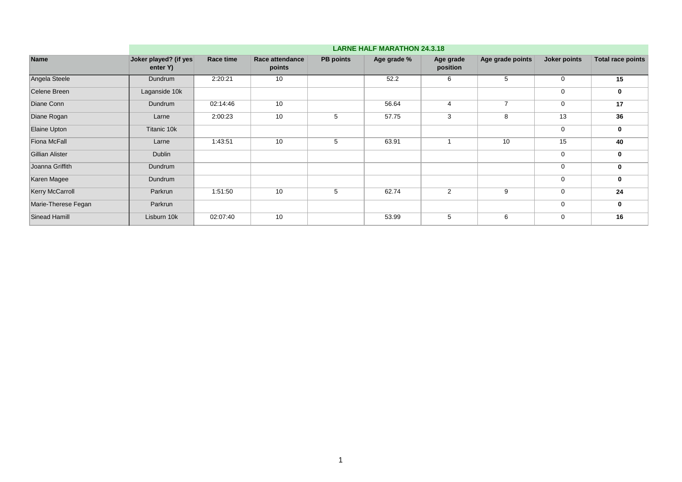|                        | <b>LARNE HALF MARATHON 24.3.18</b> |           |                           |                  |             |                       |                  |              |                          |  |  |  |
|------------------------|------------------------------------|-----------|---------------------------|------------------|-------------|-----------------------|------------------|--------------|--------------------------|--|--|--|
| <b>Name</b>            | Joker played? (if yes<br>enter Y)  | Race time | Race attendance<br>points | <b>PB</b> points | Age grade % | Age grade<br>position | Age grade points | Joker points | <b>Total race points</b> |  |  |  |
| Angela Steele          | Dundrum                            | 2:20:21   | 10                        |                  | 52.2        | 6                     | 5                | 0            | 15                       |  |  |  |
| Celene Breen           | Laganside 10k                      |           |                           |                  |             |                       |                  | 0            | 0                        |  |  |  |
| Diane Conn             | Dundrum                            | 02:14:46  | 10                        |                  | 56.64       | $\overline{4}$        | $\overline{ }$   | 0            | 17                       |  |  |  |
| Diane Rogan            | Larne                              | 2:00:23   | 10                        | 5                | 57.75       | 3                     | 8                | 13           | 36                       |  |  |  |
| Elaine Upton           | Titanic 10k                        |           |                           |                  |             |                       |                  | 0            | 0                        |  |  |  |
| <b>Fiona McFall</b>    | Larne                              | 1:43:51   | 10                        | 5                | 63.91       |                       | 10               | 15           | 40                       |  |  |  |
| <b>Gillian Alister</b> | <b>Dublin</b>                      |           |                           |                  |             |                       |                  | 0            | 0                        |  |  |  |
| Joanna Griffith        | Dundrum                            |           |                           |                  |             |                       |                  | 0            | 0                        |  |  |  |
| Karen Magee            | Dundrum                            |           |                           |                  |             |                       |                  | 0            | 0                        |  |  |  |
| <b>Kerry McCarroll</b> | Parkrun                            | 1:51:50   | 10                        | 5                | 62.74       | 2                     | 9                | $\mathbf 0$  | 24                       |  |  |  |
| Marie-Therese Fegan    | Parkrun                            |           |                           |                  |             |                       |                  | 0            | 0                        |  |  |  |
| <b>Sinead Hamill</b>   | Lisburn 10k                        | 02:07:40  | 10                        |                  | 53.99       | 5                     | 6                | 0            | 16                       |  |  |  |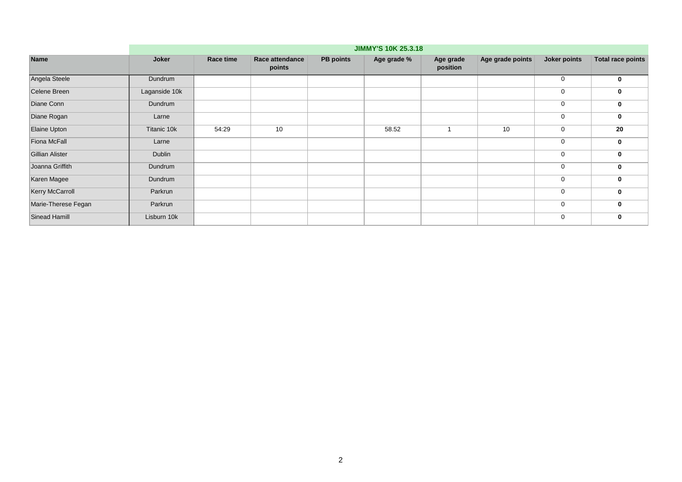|                        | <b>JIMMY'S 10K 25.3.18</b> |           |                           |                  |             |                       |                  |              |                          |  |  |  |
|------------------------|----------------------------|-----------|---------------------------|------------------|-------------|-----------------------|------------------|--------------|--------------------------|--|--|--|
| <b>Name</b>            | Joker                      | Race time | Race attendance<br>points | <b>PB</b> points | Age grade % | Age grade<br>position | Age grade points | Joker points | <b>Total race points</b> |  |  |  |
| Angela Steele          | Dundrum                    |           |                           |                  |             |                       |                  | 0            | 0                        |  |  |  |
| Celene Breen           | Laganside 10k              |           |                           |                  |             |                       |                  | 0            | 0                        |  |  |  |
| Diane Conn             | Dundrum                    |           |                           |                  |             |                       |                  | 0            | 0                        |  |  |  |
| Diane Rogan            | Larne                      |           |                           |                  |             |                       |                  | 0            | 0                        |  |  |  |
| Elaine Upton           | Titanic 10k                | 54:29     | 10                        |                  | 58.52       |                       | 10               | 0            | 20                       |  |  |  |
| Fiona McFall           | Larne                      |           |                           |                  |             |                       |                  | $\mathbf 0$  | 0                        |  |  |  |
| Gillian Alister        | <b>Dublin</b>              |           |                           |                  |             |                       |                  | 0            | 0                        |  |  |  |
| Joanna Griffith        | Dundrum                    |           |                           |                  |             |                       |                  | 0            | 0                        |  |  |  |
| Karen Magee            | Dundrum                    |           |                           |                  |             |                       |                  | $\mathbf 0$  | 0                        |  |  |  |
| <b>Kerry McCarroll</b> | Parkrun                    |           |                           |                  |             |                       |                  | $\mathbf 0$  | 0                        |  |  |  |
| Marie-Therese Fegan    | Parkrun                    |           |                           |                  |             |                       |                  | 0            | $\mathbf{0}$             |  |  |  |
| Sinead Hamill          | Lisburn 10k                |           |                           |                  |             |                       |                  | 0            | 0                        |  |  |  |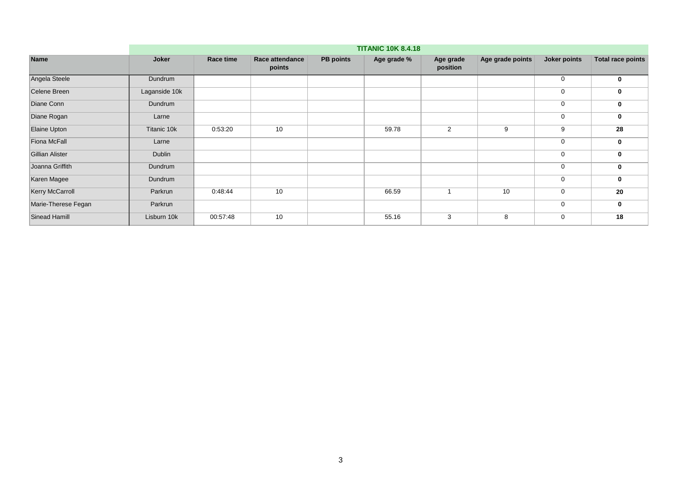|                        | <b>TITANIC 10K 8.4.18</b> |           |                           |                  |             |                       |                  |              |                          |  |  |  |
|------------------------|---------------------------|-----------|---------------------------|------------------|-------------|-----------------------|------------------|--------------|--------------------------|--|--|--|
| <b>Name</b>            | Joker                     | Race time | Race attendance<br>points | <b>PB</b> points | Age grade % | Age grade<br>position | Age grade points | Joker points | <b>Total race points</b> |  |  |  |
| Angela Steele          | Dundrum                   |           |                           |                  |             |                       |                  | 0            | 0                        |  |  |  |
| Celene Breen           | Laganside 10k             |           |                           |                  |             |                       |                  | 0            | 0                        |  |  |  |
| Diane Conn             | Dundrum                   |           |                           |                  |             |                       |                  | 0            | 0                        |  |  |  |
| Diane Rogan            | Larne                     |           |                           |                  |             |                       |                  | 0            | 0                        |  |  |  |
| Elaine Upton           | Titanic 10k               | 0:53:20   | 10                        |                  | 59.78       | $\overline{2}$        | 9                | 9            | 28                       |  |  |  |
| <b>Fiona McFall</b>    | Larne                     |           |                           |                  |             |                       |                  | 0            | 0                        |  |  |  |
| <b>Gillian Alister</b> | <b>Dublin</b>             |           |                           |                  |             |                       |                  | 0            | 0                        |  |  |  |
| Joanna Griffith        | Dundrum                   |           |                           |                  |             |                       |                  | 0            | 0                        |  |  |  |
| Karen Magee            | Dundrum                   |           |                           |                  |             |                       |                  | 0            | 0                        |  |  |  |
| Kerry McCarroll        | Parkrun                   | 0:48:44   | 10                        |                  | 66.59       |                       | 10               | 0            | 20                       |  |  |  |
| Marie-Therese Fegan    | Parkrun                   |           |                           |                  |             |                       |                  | 0            | 0                        |  |  |  |
| <b>Sinead Hamill</b>   | Lisburn 10k               | 00:57:48  | 10                        |                  | 55.16       | 3                     | 8                | 0            | 18                       |  |  |  |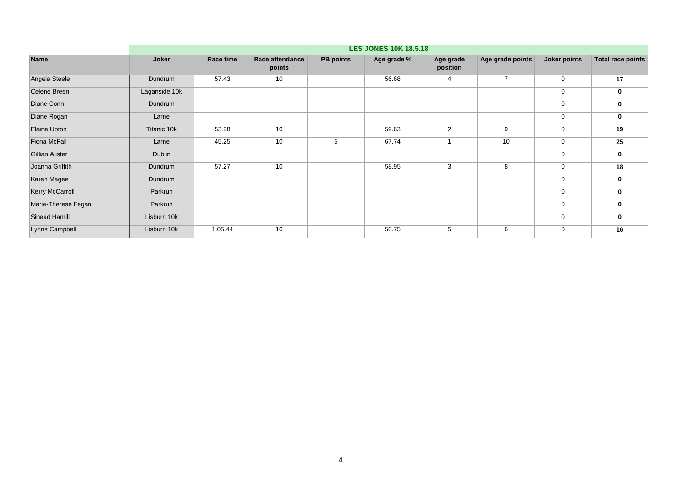|                        |               | <b>LES JONES 10K 18.5.18</b> |                           |                  |             |                       |                  |              |                          |  |  |  |  |
|------------------------|---------------|------------------------------|---------------------------|------------------|-------------|-----------------------|------------------|--------------|--------------------------|--|--|--|--|
| <b>Name</b>            | Joker         | Race time                    | Race attendance<br>points | <b>PB points</b> | Age grade % | Age grade<br>position | Age grade points | Joker points | <b>Total race points</b> |  |  |  |  |
| Angela Steele          | Dundrum       | 57.43                        | 10                        |                  | 56.68       | 4                     | $\overline{7}$   | 0            | 17                       |  |  |  |  |
| Celene Breen           | Laganside 10k |                              |                           |                  |             |                       |                  | 0            | 0                        |  |  |  |  |
| Diane Conn             | Dundrum       |                              |                           |                  |             |                       |                  | 0            | 0                        |  |  |  |  |
| Diane Rogan            | Larne         |                              |                           |                  |             |                       |                  | $\mathbf 0$  | 0                        |  |  |  |  |
| Elaine Upton           | Titanic 10k   | 53.28                        | 10                        |                  | 59.63       | 2                     | 9                | $\mathbf 0$  | 19                       |  |  |  |  |
| Fiona McFall           | Larne         | 45.25                        | 10                        | 5                | 67.74       |                       | 10               | 0            | 25                       |  |  |  |  |
| <b>Gillian Alister</b> | Dublin        |                              |                           |                  |             |                       |                  | 0            | 0                        |  |  |  |  |
| Joanna Griffith        | Dundrum       | 57.27                        | 10                        |                  | 58.95       | 3                     | 8                | 0            | 18                       |  |  |  |  |
| Karen Magee            | Dundrum       |                              |                           |                  |             |                       |                  | 0            | 0                        |  |  |  |  |
| <b>Kerry McCarroll</b> | Parkrun       |                              |                           |                  |             |                       |                  | 0            | 0                        |  |  |  |  |
| Marie-Therese Fegan    | Parkrun       |                              |                           |                  |             |                       |                  | 0            | 0                        |  |  |  |  |
| Sinead Hamill          | Lisburn 10k   |                              |                           |                  |             |                       |                  | 0            | 0                        |  |  |  |  |
| Lynne Campbell         | Lisburn 10k   | 1.05.44                      | 10                        |                  | 50.75       | 5                     | 6                | 0            | 16                       |  |  |  |  |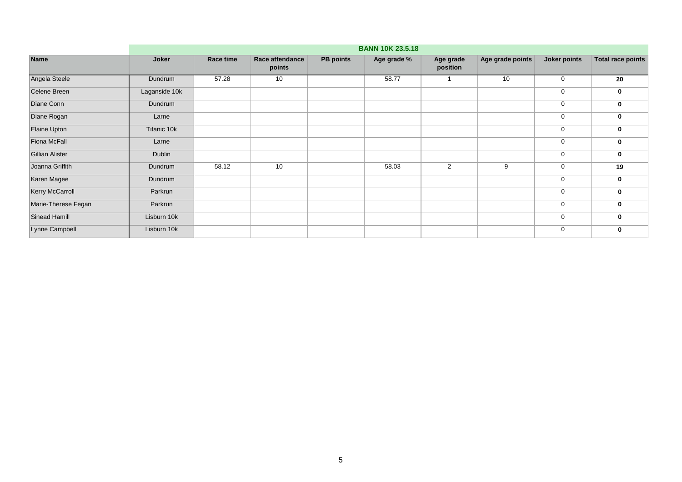|                        |               | <b>BANN 10K 23.5.18</b> |                           |                  |             |                       |                  |              |                          |  |  |  |  |
|------------------------|---------------|-------------------------|---------------------------|------------------|-------------|-----------------------|------------------|--------------|--------------------------|--|--|--|--|
| <b>Name</b>            | Joker         | Race time               | Race attendance<br>points | <b>PB points</b> | Age grade % | Age grade<br>position | Age grade points | Joker points | <b>Total race points</b> |  |  |  |  |
| Angela Steele          | Dundrum       | 57.28                   | 10                        |                  | 58.77       |                       | 10               | 0            | 20                       |  |  |  |  |
| Celene Breen           | Laganside 10k |                         |                           |                  |             |                       |                  | 0            | 0                        |  |  |  |  |
| Diane Conn             | Dundrum       |                         |                           |                  |             |                       |                  | 0            | 0                        |  |  |  |  |
| Diane Rogan            | Larne         |                         |                           |                  |             |                       |                  | 0            | 0                        |  |  |  |  |
| Elaine Upton           | Titanic 10k   |                         |                           |                  |             |                       |                  | 0            | 0                        |  |  |  |  |
| Fiona McFall           | Larne         |                         |                           |                  |             |                       |                  | 0            | 0                        |  |  |  |  |
| <b>Gillian Alister</b> | Dublin        |                         |                           |                  |             |                       |                  | 0            | 0                        |  |  |  |  |
| Joanna Griffith        | Dundrum       | 58.12                   | 10                        |                  | 58.03       | $\overline{2}$        | 9                | 0            | 19                       |  |  |  |  |
| Karen Magee            | Dundrum       |                         |                           |                  |             |                       |                  | 0            | 0                        |  |  |  |  |
| Kerry McCarroll        | Parkrun       |                         |                           |                  |             |                       |                  | 0            | 0                        |  |  |  |  |
| Marie-Therese Fegan    | Parkrun       |                         |                           |                  |             |                       |                  | 0            | 0                        |  |  |  |  |
| Sinead Hamill          | Lisburn 10k   |                         |                           |                  |             |                       |                  | 0            | 0                        |  |  |  |  |
| Lynne Campbell         | Lisburn 10k   |                         |                           |                  |             |                       |                  | 0            | 0                        |  |  |  |  |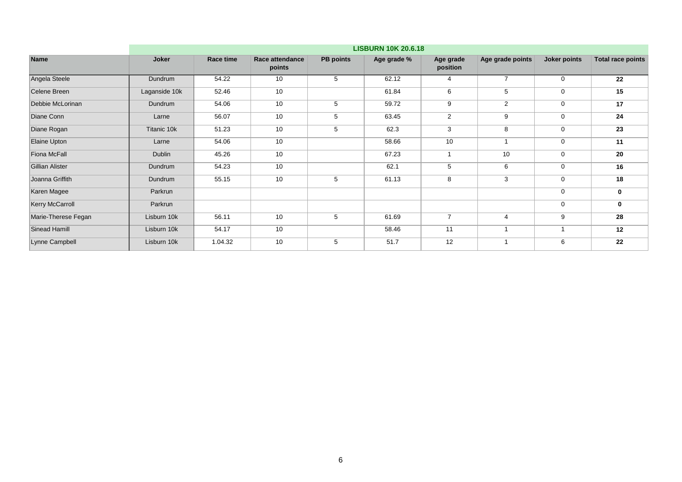|                        |               | <b>LISBURN 10K 20.6.18</b> |                                  |                  |             |                       |                  |                     |                          |  |  |  |  |
|------------------------|---------------|----------------------------|----------------------------------|------------------|-------------|-----------------------|------------------|---------------------|--------------------------|--|--|--|--|
| <b>Name</b>            | Joker         | Race time                  | <b>Race attendance</b><br>points | <b>PB</b> points | Age grade % | Age grade<br>position | Age grade points | <b>Joker points</b> | <b>Total race points</b> |  |  |  |  |
| Angela Steele          | Dundrum       | 54.22                      | 10                               | 5                | 62.12       | $\overline{4}$        | $\overline{7}$   | 0                   | 22                       |  |  |  |  |
| Celene Breen           | Laganside 10k | 52.46                      | 10                               |                  | 61.84       | 6                     | 5                | 0                   | 15                       |  |  |  |  |
| Debbie McLorinan       | Dundrum       | 54.06                      | 10                               | 5                | 59.72       | 9                     | 2                | 0                   | 17                       |  |  |  |  |
| Diane Conn             | Larne         | 56.07                      | 10                               | 5                | 63.45       | $\overline{2}$        | 9                | 0                   | 24                       |  |  |  |  |
| Diane Rogan            | Titanic 10k   | 51.23                      | 10                               | 5                | 62.3        | 3                     | 8                | 0                   | 23                       |  |  |  |  |
| <b>Elaine Upton</b>    | Larne         | 54.06                      | 10                               |                  | 58.66       | 10                    |                  | 0                   | 11                       |  |  |  |  |
| <b>Fiona McFall</b>    | Dublin        | 45.26                      | 10                               |                  | 67.23       |                       | 10               | 0                   | 20                       |  |  |  |  |
| <b>Gillian Alister</b> | Dundrum       | 54.23                      | 10                               |                  | 62.1        | 5                     | 6                | 0                   | 16                       |  |  |  |  |
| Joanna Griffith        | Dundrum       | 55.15                      | 10                               | 5                | 61.13       | 8                     | 3                | 0                   | 18                       |  |  |  |  |
| Karen Magee            | Parkrun       |                            |                                  |                  |             |                       |                  | 0                   | 0                        |  |  |  |  |
| Kerry McCarroll        | Parkrun       |                            |                                  |                  |             |                       |                  | 0                   | 0                        |  |  |  |  |
| Marie-Therese Fegan    | Lisburn 10k   | 56.11                      | 10                               | 5                | 61.69       | $\overline{7}$        | 4                | 9                   | 28                       |  |  |  |  |
| <b>Sinead Hamill</b>   | Lisburn 10k   | 54.17                      | 10                               |                  | 58.46       | 11                    |                  |                     | 12                       |  |  |  |  |
| Lynne Campbell         | Lisburn 10k   | 1.04.32                    | 10                               | 5                | 51.7        | 12                    |                  | 6                   | 22                       |  |  |  |  |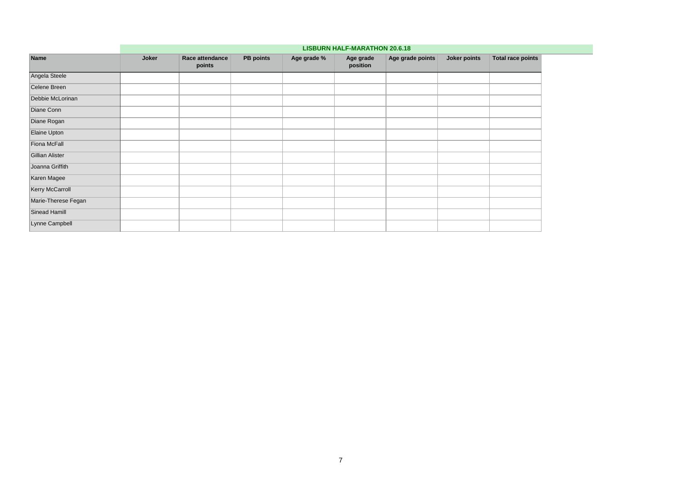|                        | <b>LISBURN HALF-MARATHON 20.6.18</b> |                           |                  |             |                       |                  |              |                          |  |  |  |  |  |
|------------------------|--------------------------------------|---------------------------|------------------|-------------|-----------------------|------------------|--------------|--------------------------|--|--|--|--|--|
| <b>Name</b>            | Joker                                | Race attendance<br>points | <b>PB</b> points | Age grade % | Age grade<br>position | Age grade points | Joker points | <b>Total race points</b> |  |  |  |  |  |
| Angela Steele          |                                      |                           |                  |             |                       |                  |              |                          |  |  |  |  |  |
| Celene Breen           |                                      |                           |                  |             |                       |                  |              |                          |  |  |  |  |  |
| Debbie McLorinan       |                                      |                           |                  |             |                       |                  |              |                          |  |  |  |  |  |
| Diane Conn             |                                      |                           |                  |             |                       |                  |              |                          |  |  |  |  |  |
| Diane Rogan            |                                      |                           |                  |             |                       |                  |              |                          |  |  |  |  |  |
| Elaine Upton           |                                      |                           |                  |             |                       |                  |              |                          |  |  |  |  |  |
| Fiona McFall           |                                      |                           |                  |             |                       |                  |              |                          |  |  |  |  |  |
| <b>Gillian Alister</b> |                                      |                           |                  |             |                       |                  |              |                          |  |  |  |  |  |
| Joanna Griffith        |                                      |                           |                  |             |                       |                  |              |                          |  |  |  |  |  |
| Karen Magee            |                                      |                           |                  |             |                       |                  |              |                          |  |  |  |  |  |
| Kerry McCarroll        |                                      |                           |                  |             |                       |                  |              |                          |  |  |  |  |  |
| Marie-Therese Fegan    |                                      |                           |                  |             |                       |                  |              |                          |  |  |  |  |  |
| Sinead Hamill          |                                      |                           |                  |             |                       |                  |              |                          |  |  |  |  |  |
| Lynne Campbell         |                                      |                           |                  |             |                       |                  |              |                          |  |  |  |  |  |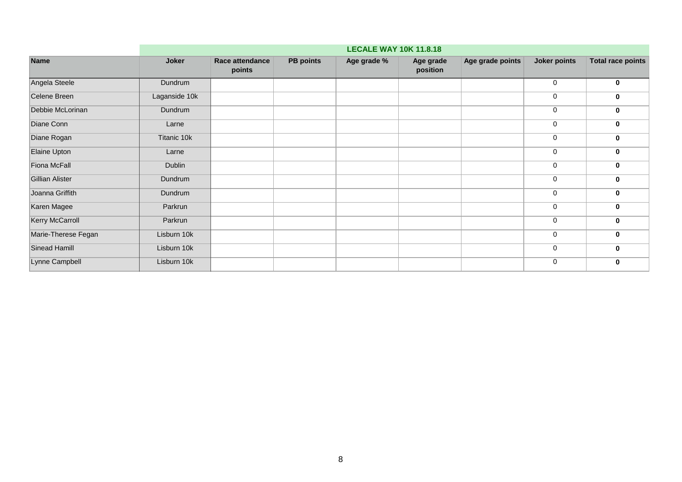|                     | <b>LECALE WAY 10K 11.8.18</b> |                           |                  |             |                       |                  |                     |                          |  |  |  |  |  |
|---------------------|-------------------------------|---------------------------|------------------|-------------|-----------------------|------------------|---------------------|--------------------------|--|--|--|--|--|
| Name                | Joker                         | Race attendance<br>points | <b>PB</b> points | Age grade % | Age grade<br>position | Age grade points | <b>Joker points</b> | <b>Total race points</b> |  |  |  |  |  |
| Angela Steele       | Dundrum                       |                           |                  |             |                       |                  | 0                   | $\mathbf 0$              |  |  |  |  |  |
| Celene Breen        | Laganside 10k                 |                           |                  |             |                       |                  | 0                   | $\mathbf 0$              |  |  |  |  |  |
| Debbie McLorinan    | Dundrum                       |                           |                  |             |                       |                  | 0                   | $\mathbf 0$              |  |  |  |  |  |
| Diane Conn          | Larne                         |                           |                  |             |                       |                  | 0                   | $\mathbf 0$              |  |  |  |  |  |
| Diane Rogan         | Titanic 10k                   |                           |                  |             |                       |                  | 0                   | $\mathbf 0$              |  |  |  |  |  |
| Elaine Upton        | Larne                         |                           |                  |             |                       |                  | 0                   | $\mathbf 0$              |  |  |  |  |  |
| Fiona McFall        | Dublin                        |                           |                  |             |                       |                  | 0                   | $\mathbf 0$              |  |  |  |  |  |
| Gillian Alister     | Dundrum                       |                           |                  |             |                       |                  | 0                   | $\mathbf 0$              |  |  |  |  |  |
| Joanna Griffith     | Dundrum                       |                           |                  |             |                       |                  | $\mathbf 0$         | $\mathbf 0$              |  |  |  |  |  |
| Karen Magee         | Parkrun                       |                           |                  |             |                       |                  | 0                   | $\mathbf 0$              |  |  |  |  |  |
| Kerry McCarroll     | Parkrun                       |                           |                  |             |                       |                  | 0                   | $\mathbf 0$              |  |  |  |  |  |
| Marie-Therese Fegan | Lisburn 10k                   |                           |                  |             |                       |                  | 0                   | $\mathbf 0$              |  |  |  |  |  |
| Sinead Hamill       | Lisburn 10k                   |                           |                  |             |                       |                  | 0                   | $\mathbf 0$              |  |  |  |  |  |
| Lynne Campbell      | Lisburn 10k                   |                           |                  |             |                       |                  | 0                   | $\mathbf 0$              |  |  |  |  |  |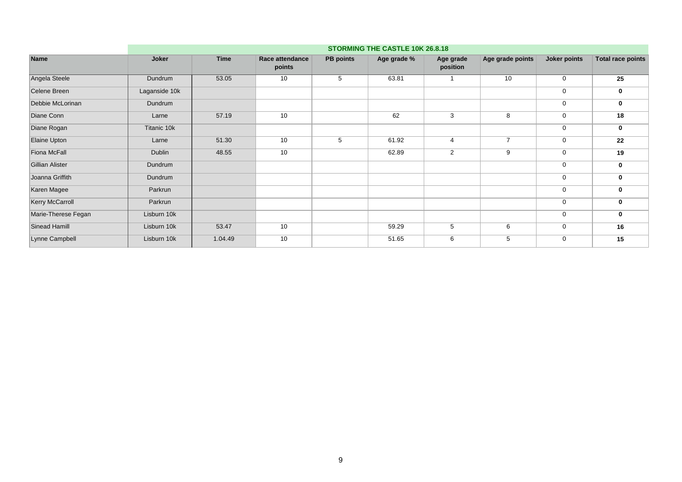|                        |               | STORMING THE CASTLE 10K 26.8.18 |                           |                  |             |                       |                  |              |                          |  |  |  |  |
|------------------------|---------------|---------------------------------|---------------------------|------------------|-------------|-----------------------|------------------|--------------|--------------------------|--|--|--|--|
| Name                   | Joker         | <b>Time</b>                     | Race attendance<br>points | <b>PB points</b> | Age grade % | Age grade<br>position | Age grade points | Joker points | <b>Total race points</b> |  |  |  |  |
| Angela Steele          | Dundrum       | 53.05                           | 10                        | 5                | 63.81       |                       | 10               | $\mathbf 0$  | 25                       |  |  |  |  |
| Celene Breen           | Laganside 10k |                                 |                           |                  |             |                       |                  | $\mathbf 0$  | 0                        |  |  |  |  |
| Debbie McLorinan       | Dundrum       |                                 |                           |                  |             |                       |                  | $\mathbf 0$  | 0                        |  |  |  |  |
| Diane Conn             | Larne         | 57.19                           | 10                        |                  | 62          | 3                     | 8                | $\mathbf 0$  | 18                       |  |  |  |  |
| Diane Rogan            | Titanic 10k   |                                 |                           |                  |             |                       |                  | $\mathbf 0$  | 0                        |  |  |  |  |
| Elaine Upton           | Larne         | 51.30                           | 10                        | 5                | 61.92       | 4                     | $\overline{7}$   | $\mathbf 0$  | 22                       |  |  |  |  |
| <b>Fiona McFall</b>    | Dublin        | 48.55                           | 10                        |                  | 62.89       | $\overline{2}$        | 9                | $\mathbf 0$  | 19                       |  |  |  |  |
| <b>Gillian Alister</b> | Dundrum       |                                 |                           |                  |             |                       |                  | $\mathbf 0$  | 0                        |  |  |  |  |
| Joanna Griffith        | Dundrum       |                                 |                           |                  |             |                       |                  | $\mathbf 0$  | $\bf{0}$                 |  |  |  |  |
| Karen Magee            | Parkrun       |                                 |                           |                  |             |                       |                  | $\mathbf 0$  | 0                        |  |  |  |  |
| <b>Kerry McCarroll</b> | Parkrun       |                                 |                           |                  |             |                       |                  | $\mathbf 0$  | 0                        |  |  |  |  |
| Marie-Therese Fegan    | Lisburn 10k   |                                 |                           |                  |             |                       |                  | $\mathbf 0$  | 0                        |  |  |  |  |
| Sinead Hamill          | Lisburn 10k   | 53.47                           | 10                        |                  | 59.29       | 5                     | 6                | $\mathbf 0$  | 16                       |  |  |  |  |
| Lynne Campbell         | Lisburn 10k   | 1.04.49                         | 10                        |                  | 51.65       | 6                     | 5                | $\mathbf 0$  | 15                       |  |  |  |  |
|                        |               |                                 |                           |                  |             |                       |                  |              |                          |  |  |  |  |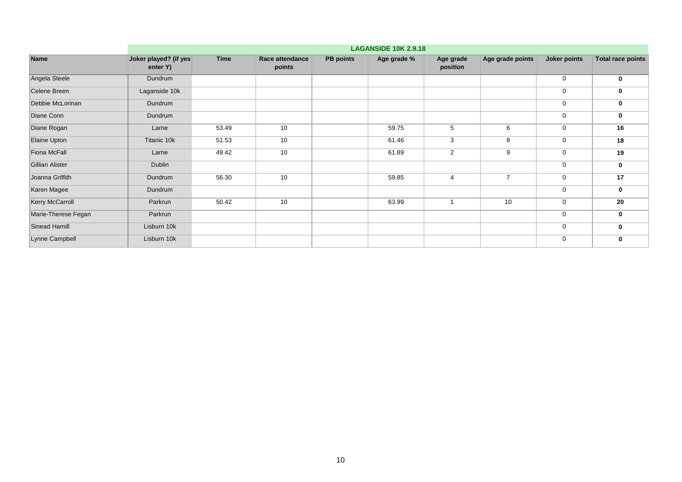|                        | <b>LAGANSIDE 10K 2.9.18</b>       |             |                           |                  |             |                       |                  |              |                          |  |  |  |
|------------------------|-----------------------------------|-------------|---------------------------|------------------|-------------|-----------------------|------------------|--------------|--------------------------|--|--|--|
| <b>Name</b>            | Joker played? (if yes<br>enter Y) | <b>Time</b> | Race attendance<br>points | <b>PB</b> points | Age grade % | Age grade<br>position | Age grade points | Joker points | <b>Total race points</b> |  |  |  |
| Angela Steele          | Dundrum                           |             |                           |                  |             |                       |                  | $\mathbf 0$  | $\bf{0}$                 |  |  |  |
| Celene Breen           | Laganside 10k                     |             |                           |                  |             |                       |                  | $\mathbf 0$  | 0                        |  |  |  |
| Debbie McLorinan       | Dundrum                           |             |                           |                  |             |                       |                  | $\mathbf 0$  | 0                        |  |  |  |
| Diane Conn             | Dundrum                           |             |                           |                  |             |                       |                  | $\mathbf 0$  | 0                        |  |  |  |
| Diane Rogan            | Larne                             | 53.49       | 10                        |                  | 59.75       | 5                     | 6                | $\mathbf 0$  | 16                       |  |  |  |
| Elaine Upton           | Titanic 10k                       | 51.53       | 10                        |                  | 61.46       | 3                     | 8                | $\mathbf 0$  | 18                       |  |  |  |
| Fiona McFall           | Larne                             | 49.42       | 10                        |                  | 61.89       | 2                     | 9                | $\mathbf 0$  | 19                       |  |  |  |
| <b>Gillian Alister</b> | Dublin                            |             |                           |                  |             |                       |                  | $\mathbf 0$  | $\mathbf 0$              |  |  |  |
| Joanna Griffith        | Dundrum                           | 56.30       | 10                        |                  | 59.85       | 4                     | $\overline{7}$   | $\mathbf 0$  | 17                       |  |  |  |
| Karen Magee            | Dundrum                           |             |                           |                  |             |                       |                  | $\mathbf 0$  | 0                        |  |  |  |
| <b>Kerry McCarroll</b> | Parkrun                           | 50.42       | 10                        |                  | 63.99       |                       | 10               | $\mathbf 0$  | 20                       |  |  |  |
| Marie-Therese Fegan    | Parkrun                           |             |                           |                  |             |                       |                  | $\mathbf 0$  | $\bf{0}$                 |  |  |  |
| Sinead Hamill          | Lisburn 10k                       |             |                           |                  |             |                       |                  | $\mathbf 0$  | $\mathbf 0$              |  |  |  |
| Lynne Campbell         | Lisburn 10k                       |             |                           |                  |             |                       |                  | $\mathbf 0$  | 0                        |  |  |  |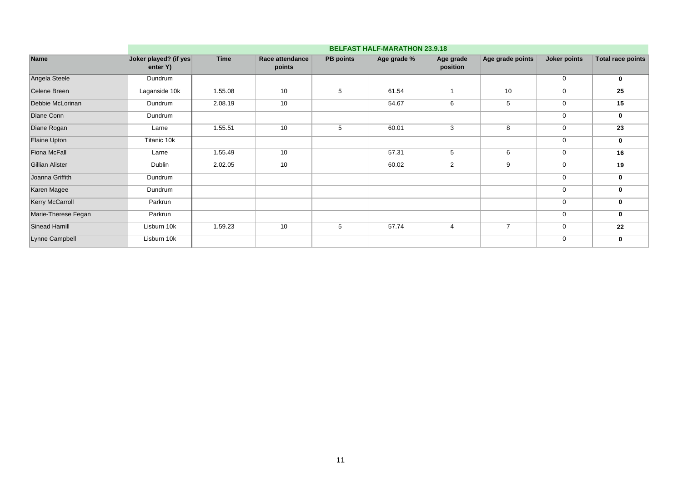|                        |                                   | <b>BELFAST HALF-MARATHON 23.9.18</b> |                           |                  |             |                       |                  |              |                          |  |  |  |  |
|------------------------|-----------------------------------|--------------------------------------|---------------------------|------------------|-------------|-----------------------|------------------|--------------|--------------------------|--|--|--|--|
| <b>Name</b>            | Joker played? (if yes<br>enter Y) | <b>Time</b>                          | Race attendance<br>points | <b>PB</b> points | Age grade % | Age grade<br>position | Age grade points | Joker points | <b>Total race points</b> |  |  |  |  |
| Angela Steele          | Dundrum                           |                                      |                           |                  |             |                       |                  | $\mathbf 0$  | 0                        |  |  |  |  |
| Celene Breen           | Laganside 10k                     | 1.55.08                              | 10                        | 5                | 61.54       |                       | 10               | $\mathbf 0$  | 25                       |  |  |  |  |
| Debbie McLorinan       | Dundrum                           | 2.08.19                              | 10                        |                  | 54.67       | 6                     | 5                | 0            | 15                       |  |  |  |  |
| Diane Conn             | Dundrum                           |                                      |                           |                  |             |                       |                  | $\mathbf 0$  | 0                        |  |  |  |  |
| Diane Rogan            | Larne                             | 1.55.51                              | 10                        | 5                | 60.01       | 3                     | 8                | $\mathbf 0$  | 23                       |  |  |  |  |
| Elaine Upton           | Titanic 10k                       |                                      |                           |                  |             |                       |                  | $\mathbf 0$  | 0                        |  |  |  |  |
| <b>Fiona McFall</b>    | Larne                             | 1.55.49                              | 10                        |                  | 57.31       | 5                     | 6                | $\mathbf 0$  | 16                       |  |  |  |  |
| <b>Gillian Alister</b> | Dublin                            | 2.02.05                              | 10                        |                  | 60.02       | $\overline{2}$        | 9                | $\mathbf 0$  | 19                       |  |  |  |  |
| Joanna Griffith        | Dundrum                           |                                      |                           |                  |             |                       |                  | $\mathbf 0$  | 0                        |  |  |  |  |
| Karen Magee            | Dundrum                           |                                      |                           |                  |             |                       |                  | $\mathbf 0$  | 0                        |  |  |  |  |
| Kerry McCarroll        | Parkrun                           |                                      |                           |                  |             |                       |                  | $\mathbf 0$  | 0                        |  |  |  |  |
| Marie-Therese Fegan    | Parkrun                           |                                      |                           |                  |             |                       |                  | $\mathbf 0$  | 0                        |  |  |  |  |
| <b>Sinead Hamill</b>   | Lisburn 10k                       | 1.59.23                              | 10                        | 5                | 57.74       | $\overline{4}$        | $\overline{7}$   | $\mathbf 0$  | 22                       |  |  |  |  |
| Lynne Campbell         | Lisburn 10k                       |                                      |                           |                  |             |                       |                  | $\mathbf 0$  | 0                        |  |  |  |  |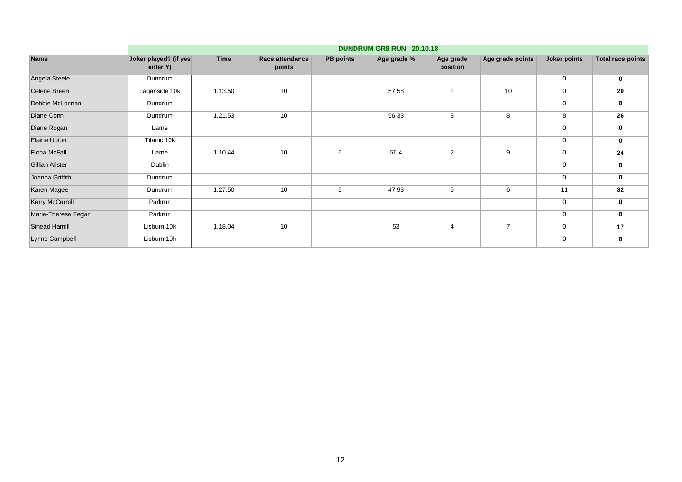| DUNDRUM GR8 RUN 20.10.18          |             |                           |                  |             |                       |                  |              |                   |  |  |  |
|-----------------------------------|-------------|---------------------------|------------------|-------------|-----------------------|------------------|--------------|-------------------|--|--|--|
| Joker played? (if yes<br>enter Y) | <b>Time</b> | Race attendance<br>points | <b>PB</b> points | Age grade % | Age grade<br>position | Age grade points | Joker points | Total race points |  |  |  |
| Dundrum                           |             |                           |                  |             |                       |                  | $\mathbf 0$  | $\mathbf 0$       |  |  |  |
| Laganside 10k                     | 1.13.50     | 10                        |                  | 57.58       |                       | 10               | $\mathbf 0$  | 20                |  |  |  |
| Dundrum                           |             |                           |                  |             |                       |                  | $\mathbf 0$  | 0                 |  |  |  |
| Dundrum                           | 1.21.53     | 10                        |                  | 56.33       | 3                     | 8                | 8            | 26                |  |  |  |
| Larne                             |             |                           |                  |             |                       |                  | $\mathbf 0$  | 0                 |  |  |  |
| Titanic 10k                       |             |                           |                  |             |                       |                  | $\mathbf 0$  | $\mathbf 0$       |  |  |  |
| Larne                             | 1.10.44     | 10                        | 5                | 56.4        | 2                     | 9                | 0            | 24                |  |  |  |
| Dublin                            |             |                           |                  |             |                       |                  | $\mathbf 0$  | $\mathbf 0$       |  |  |  |
| Dundrum                           |             |                           |                  |             |                       |                  | $\mathbf 0$  | 0                 |  |  |  |
| Dundrum                           | 1.27.50     | 10                        | 5                | 47.93       | 5                     | 6                | 11           | 32                |  |  |  |
| Parkrun                           |             |                           |                  |             |                       |                  | $\mathbf 0$  | 0                 |  |  |  |
| Parkrun                           |             |                           |                  |             |                       |                  | $\mathbf 0$  | $\mathbf 0$       |  |  |  |
| Lisburn 10k                       | 1.18.04     | 10                        |                  | 53          | 4                     | $\overline{7}$   | $\mathbf 0$  | 17                |  |  |  |
| Lisburn 10k                       |             |                           |                  |             |                       |                  | $\mathbf 0$  | 0                 |  |  |  |
|                                   |             |                           |                  |             |                       |                  |              |                   |  |  |  |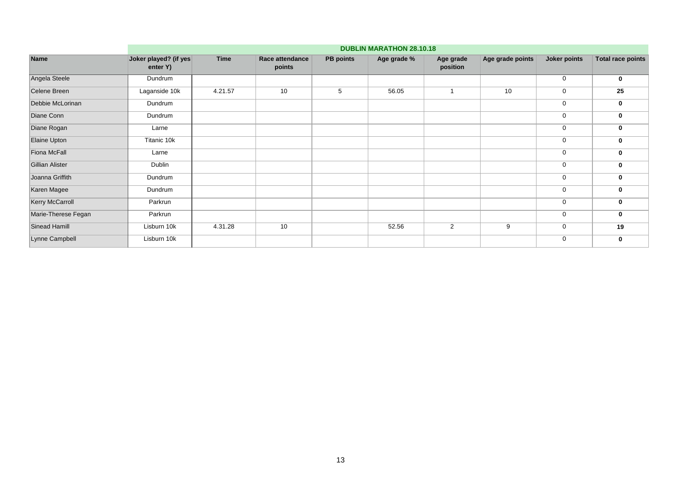| <b>Name</b>            |                                   | <b>DUBLIN MARATHON 28.10.18</b> |                           |                  |             |                       |                  |              |                          |  |  |  |  |  |
|------------------------|-----------------------------------|---------------------------------|---------------------------|------------------|-------------|-----------------------|------------------|--------------|--------------------------|--|--|--|--|--|
|                        | Joker played? (if yes<br>enter Y) | <b>Time</b>                     | Race attendance<br>points | <b>PB</b> points | Age grade % | Age grade<br>position | Age grade points | Joker points | <b>Total race points</b> |  |  |  |  |  |
| Angela Steele          | Dundrum                           |                                 |                           |                  |             |                       |                  | $\mathbf 0$  | 0                        |  |  |  |  |  |
| Celene Breen           | Laganside 10k                     | 4.21.57                         | 10                        | 5                | 56.05       |                       | 10               | $\mathbf 0$  | 25                       |  |  |  |  |  |
| Debbie McLorinan       | Dundrum                           |                                 |                           |                  |             |                       |                  | 0            | 0                        |  |  |  |  |  |
| Diane Conn             | Dundrum                           |                                 |                           |                  |             |                       |                  | $\mathbf 0$  | 0                        |  |  |  |  |  |
| Diane Rogan            | Larne                             |                                 |                           |                  |             |                       |                  | $\mathbf 0$  | 0                        |  |  |  |  |  |
| Elaine Upton           | Titanic 10k                       |                                 |                           |                  |             |                       |                  | $\mathbf 0$  | 0                        |  |  |  |  |  |
| <b>Fiona McFall</b>    | Larne                             |                                 |                           |                  |             |                       |                  | $\mathbf 0$  | 0                        |  |  |  |  |  |
| <b>Gillian Alister</b> | Dublin                            |                                 |                           |                  |             |                       |                  | $\mathbf 0$  | 0                        |  |  |  |  |  |
| Joanna Griffith        | Dundrum                           |                                 |                           |                  |             |                       |                  | $\mathbf 0$  | 0                        |  |  |  |  |  |
| Karen Magee            | Dundrum                           |                                 |                           |                  |             |                       |                  | $\mathbf 0$  | 0                        |  |  |  |  |  |
| Kerry McCarroll        | Parkrun                           |                                 |                           |                  |             |                       |                  | $\mathbf 0$  | 0                        |  |  |  |  |  |
| Marie-Therese Fegan    | Parkrun                           |                                 |                           |                  |             |                       |                  | 0            | 0                        |  |  |  |  |  |
| <b>Sinead Hamill</b>   | Lisburn 10k                       | 4.31.28                         | 10                        |                  | 52.56       | 2                     | 9                | $\mathbf 0$  | 19                       |  |  |  |  |  |
| Lynne Campbell         | Lisburn 10k                       |                                 |                           |                  |             |                       |                  | $\mathbf 0$  | 0                        |  |  |  |  |  |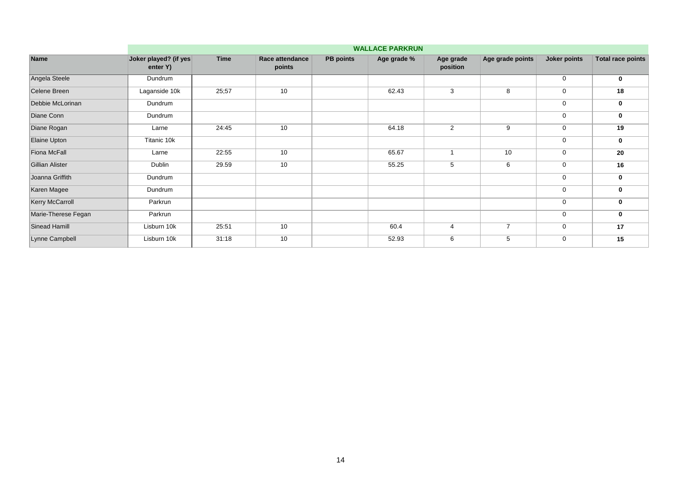| <b>Name</b>            |                                   | <b>WALLACE PARKRUN</b> |                           |                  |             |                       |                  |              |                          |  |  |  |  |
|------------------------|-----------------------------------|------------------------|---------------------------|------------------|-------------|-----------------------|------------------|--------------|--------------------------|--|--|--|--|
|                        | Joker played? (if yes<br>enter Y) | <b>Time</b>            | Race attendance<br>points | <b>PB</b> points | Age grade % | Age grade<br>position | Age grade points | Joker points | <b>Total race points</b> |  |  |  |  |
| Angela Steele          | Dundrum                           |                        |                           |                  |             |                       |                  | $\mathbf 0$  | 0                        |  |  |  |  |
| Celene Breen           | Laganside 10k                     | 25;57                  | 10                        |                  | 62.43       | 3                     | 8                | $\mathbf 0$  | 18                       |  |  |  |  |
| Debbie McLorinan       | Dundrum                           |                        |                           |                  |             |                       |                  | $\mathbf 0$  | 0                        |  |  |  |  |
| Diane Conn             | Dundrum                           |                        |                           |                  |             |                       |                  | $\mathbf 0$  | 0                        |  |  |  |  |
| Diane Rogan            | Larne                             | 24:45                  | 10                        |                  | 64.18       | $\overline{2}$        | 9                | $\mathbf 0$  | 19                       |  |  |  |  |
| Elaine Upton           | Titanic 10k                       |                        |                           |                  |             |                       |                  | $\mathbf 0$  | $\mathbf 0$              |  |  |  |  |
| Fiona McFall           | Larne                             | 22:55                  | 10                        |                  | 65.67       |                       | 10               | 0            | 20                       |  |  |  |  |
| <b>Gillian Alister</b> | Dublin                            | 29.59                  | 10                        |                  | 55.25       | 5                     | 6                | $\mathbf 0$  | 16                       |  |  |  |  |
| Joanna Griffith        | Dundrum                           |                        |                           |                  |             |                       |                  | $\mathbf 0$  | 0                        |  |  |  |  |
| Karen Magee            | Dundrum                           |                        |                           |                  |             |                       |                  | 0            | 0                        |  |  |  |  |
| Kerry McCarroll        | Parkrun                           |                        |                           |                  |             |                       |                  | $\mathbf 0$  | 0                        |  |  |  |  |
| Marie-Therese Fegan    | Parkrun                           |                        |                           |                  |             |                       |                  | $\mathbf 0$  | 0                        |  |  |  |  |
| Sinead Hamill          | Lisburn 10k                       | 25:51                  | 10                        |                  | 60.4        | $\overline{4}$        | $\overline{7}$   | $\mathbf 0$  | 17                       |  |  |  |  |
| Lynne Campbell         | Lisburn 10k                       | 31:18                  | 10                        |                  | 52.93       | 6                     | 5                | $\mathbf 0$  | 15                       |  |  |  |  |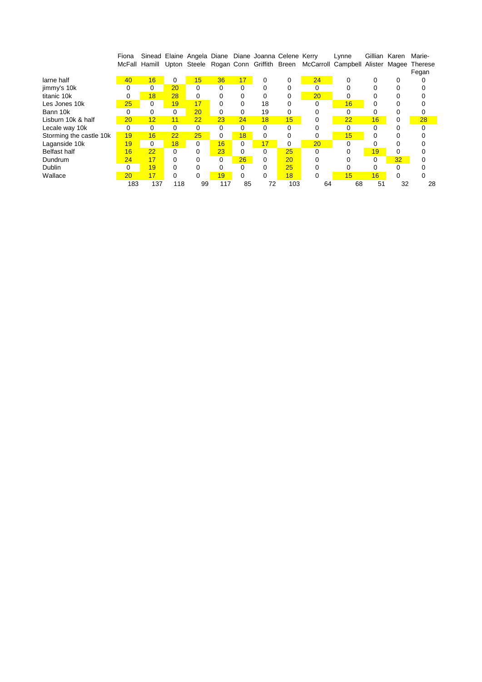|                         | Fiona           |     |          |          |     |          | Sinead Elaine Angela Diane Diane Joanna Celene Kerry |     |          | Lynne                                                                                 |    | Gillian Karen | Marie-  |
|-------------------------|-----------------|-----|----------|----------|-----|----------|------------------------------------------------------|-----|----------|---------------------------------------------------------------------------------------|----|---------------|---------|
|                         |                 |     |          |          |     |          |                                                      |     |          | McFall Hamill Upton Steele Rogan Conn Griffith Breen McCarroll Campbell Alister Magee |    |               | Therese |
|                         |                 |     |          |          |     |          |                                                      |     |          |                                                                                       |    |               | Fegan   |
| larne half              | 40              | 16  | $\Omega$ | 15       | 36  | 17       | 0                                                    | 0   | 24       | O                                                                                     |    | 0             |         |
| jimmy's 10k             | 0               | 0   | 20       | 0        | 0   | 0        | 0                                                    | 0   | 0        |                                                                                       |    |               |         |
| titanic 10k             | 0               | 18  | 28       | 0        | 0   | 0        | 0                                                    | 0   | 20       | 0                                                                                     |    |               |         |
| Les Jones 10k           | 25              | 0   | 19       | 17       | 0   |          | 18                                                   | 0   | O        | 16                                                                                    | 0  |               |         |
| Bann 10k                | 0               | 0   | 0        | 20       | 0   | 0        | 19                                                   | 0   |          | $\Omega$                                                                              |    |               |         |
| Lisburn 10k & half      | 20              | 12  | 11       | 22       | 23  | 24       | 18                                                   | 15  |          | 22                                                                                    | 16 | ი             | 28      |
| Lecale way 10k          | 0               | 0   | 0        | 0        | 0   | 0        | 0                                                    | 0   |          | 0                                                                                     | 0  |               |         |
| Storming the castle 10k | 19              | 16  | 22       | 25       | 0   | 18       | 0                                                    | 0   | 0        | 15                                                                                    | 0  |               |         |
| Laganside 10k           | 19              | 0   | 18       | $\Omega$ | 16  | $\Omega$ | 17                                                   | 0   | 20       | $\Omega$                                                                              |    |               |         |
| <b>Belfast half</b>     | 16              | 22  | 0        | $\Omega$ | 23  | 0        | 0                                                    | 25  | $\Omega$ | ი                                                                                     | 19 | 0             |         |
| Dundrum                 | 24              | 17  |          | 0        | 0   | 26       | 0                                                    | 20  |          |                                                                                       | 0  | 32            |         |
| <b>Dublin</b>           | 0               | 19  |          | 0        | 0   | 0        | 0                                                    | 25  |          |                                                                                       | 0  |               |         |
| Wallace                 | $\overline{20}$ | 17  | 0        | $\Omega$ | 19  | 0        | 0                                                    | 18  | $\Omega$ | 15                                                                                    | 16 | U             | 0       |
|                         | 183             | 137 | 118      | 99       | 117 | 85       | 72                                                   | 103 | 64       | 68                                                                                    | 51 | 32            | 28      |